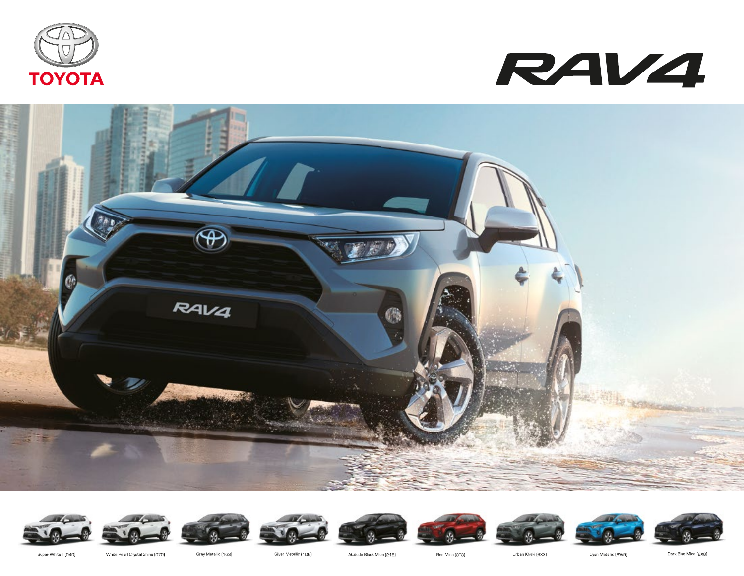























Super White II (040)

White Pearl Crystal Shine [070]

Gray Metallic (1G3)

Silver Metallic (1D6)

Attitude Black Mica (218)

Red Mica [3T3]

Urban Khaki (6X3)

Cyan Metallic (8VV9)

Dark Blue Mica (BXB)